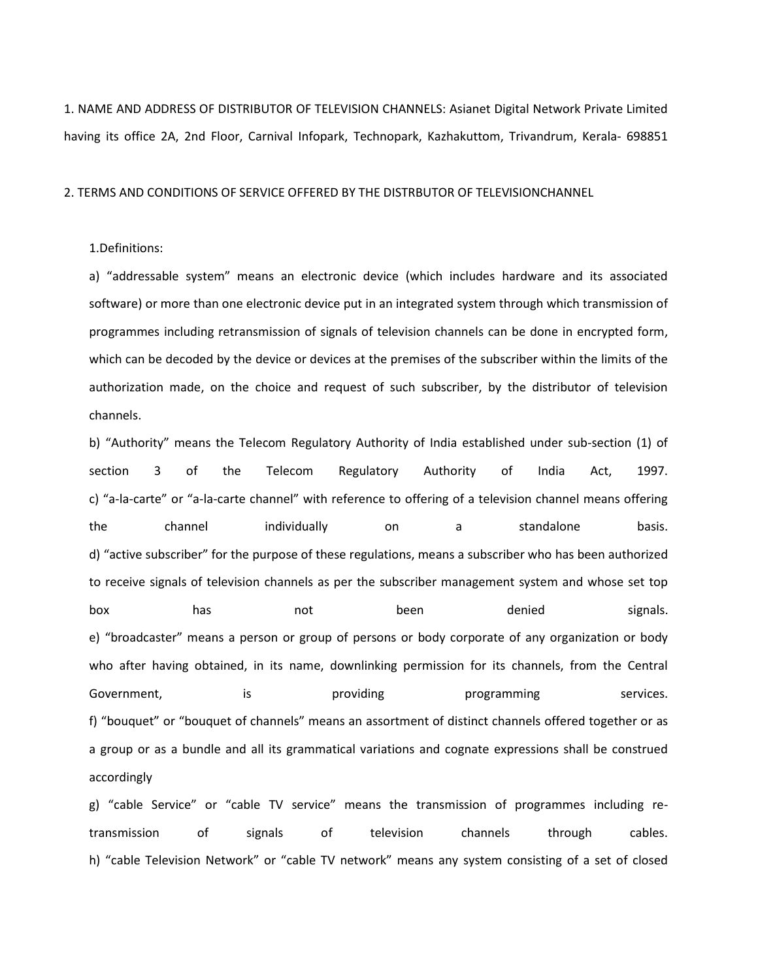1. NAME AND ADDRESS OF DISTRIBUTOR OF TELEVISION CHANNELS: Asianet Digital Network Private Limited having its office 2A, 2nd Floor, Carnival Infopark, Technopark, Kazhakuttom, Trivandrum, Kerala- 698851

2. TERMS AND CONDITIONS OF SERVICE OFFERED BY THE DISTRBUTOR OF TELEVISIONCHANNEL

### 1.Definitions:

a) "addressable system" means an electronic device (which includes hardware and its associated software) or more than one electronic device put in an integrated system through which transmission of programmes including retransmission of signals of television channels can be done in encrypted form, which can be decoded by the device or devices at the premises of the subscriber within the limits of the authorization made, on the choice and request of such subscriber, by the distributor of television channels.

b) "Authority" means the Telecom Regulatory Authority of India established under sub-section (1) of section 3 of the Telecom Regulatory Authority of India Act, 1997. c) "a-la-carte" or "a-la-carte channel" with reference to offering of a television channel means offering the channel individually on a standalone basis. d) "active subscriber" for the purpose of these regulations, means a subscriber who has been authorized to receive signals of television channels as per the subscriber management system and whose set top box has has not been denied signals. e) "broadcaster" means a person or group of persons or body corporate of any organization or body who after having obtained, in its name, downlinking permission for its channels, from the Central Government, is is providing programming services. f) "bouquet" or "bouquet of channels" means an assortment of distinct channels offered together or as a group or as a bundle and all its grammatical variations and cognate expressions shall be construed accordingly

g) "cable Service" or "cable TV service" means the transmission of programmes including retransmission of signals of television channels through cables. h) "cable Television Network" or "cable TV network" means any system consisting of a set of closed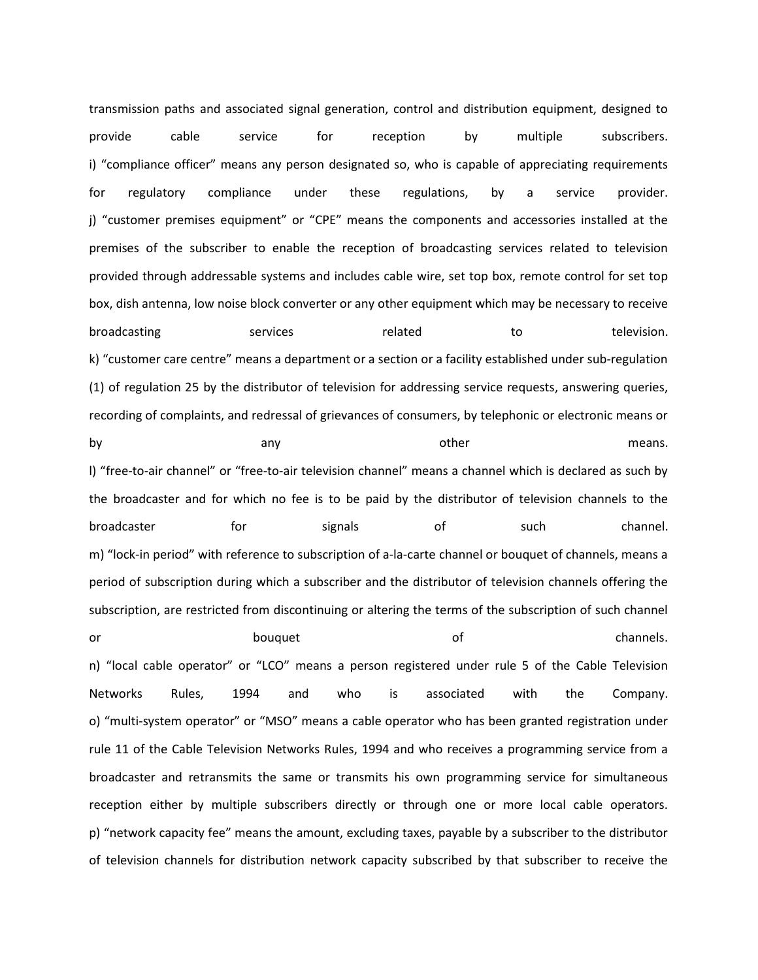transmission paths and associated signal generation, control and distribution equipment, designed to provide cable service for reception by multiple subscribers. i) "compliance officer" means any person designated so, who is capable of appreciating requirements for regulatory compliance under these regulations, by a service provider. j) "customer premises equipment" or "CPE" means the components and accessories installed at the premises of the subscriber to enable the reception of broadcasting services related to television provided through addressable systems and includes cable wire, set top box, remote control for set top box, dish antenna, low noise block converter or any other equipment which may be necessary to receive broadcasting services related to television. k) "customer care centre" means a department or a section or a facility established under sub-regulation (1) of regulation 25 by the distributor of television for addressing service requests, answering queries, recording of complaints, and redressal of grievances of consumers, by telephonic or electronic means or by any any by any beam of the means. l) "free-to-air channel" or "free-to-air television channel" means a channel which is declared as such by the broadcaster and for which no fee is to be paid by the distributor of television channels to the broadcaster **for** signals of such channel. m) "lock-in period" with reference to subscription of a-la-carte channel or bouquet of channels, means a period of subscription during which a subscriber and the distributor of television channels offering the subscription, are restricted from discontinuing or altering the terms of the subscription of such channel or bouquet bouquet of channels. n) "local cable operator" or "LCO" means a person registered under rule 5 of the Cable Television Networks Rules, 1994 and who is associated with the Company. o) "multi-system operator" or "MSO" means a cable operator who has been granted registration under rule 11 of the Cable Television Networks Rules, 1994 and who receives a programming service from a broadcaster and retransmits the same or transmits his own programming service for simultaneous reception either by multiple subscribers directly or through one or more local cable operators. p) "network capacity fee" means the amount, excluding taxes, payable by a subscriber to the distributor of television channels for distribution network capacity subscribed by that subscriber to receive the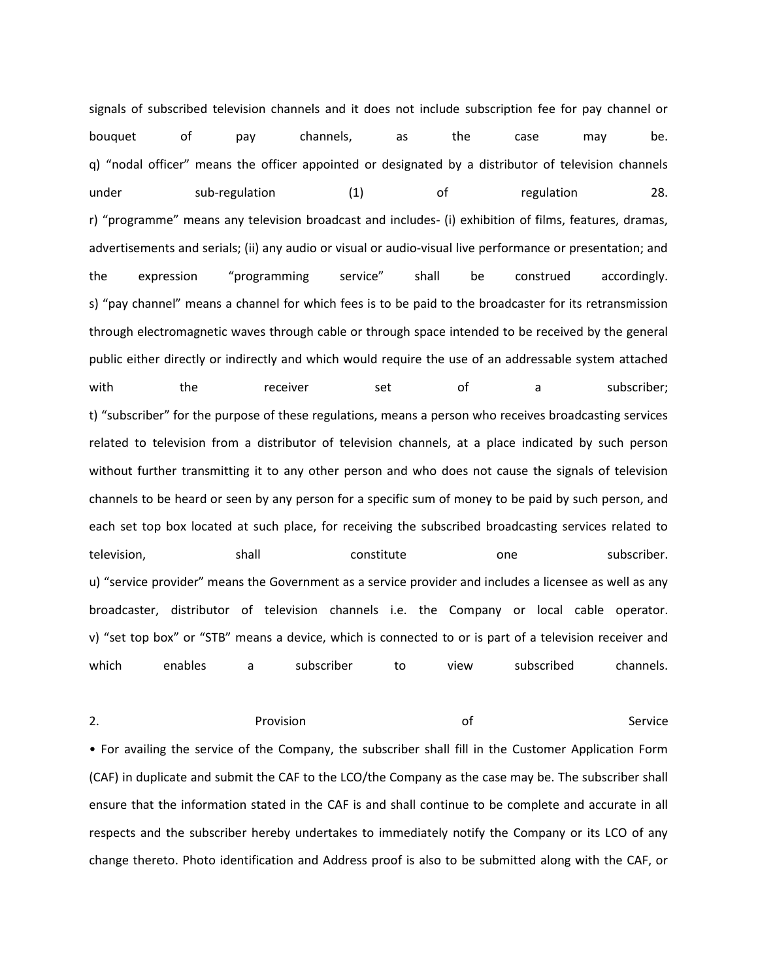signals of subscribed television channels and it does not include subscription fee for pay channel or bouquet of pay channels, as the case may be. q) "nodal officer" means the officer appointed or designated by a distributor of television channels under sub-regulation (1) of regulation 28. r) "programme" means any television broadcast and includes- (i) exhibition of films, features, dramas, advertisements and serials; (ii) any audio or visual or audio-visual live performance or presentation; and the expression "programming service" shall be construed accordingly. s) "pay channel" means a channel for which fees is to be paid to the broadcaster for its retransmission through electromagnetic waves through cable or through space intended to be received by the general public either directly or indirectly and which would require the use of an addressable system attached with the receiver set of a subscriber; t) "subscriber" for the purpose of these regulations, means a person who receives broadcasting services related to television from a distributor of television channels, at a place indicated by such person without further transmitting it to any other person and who does not cause the signals of television channels to be heard or seen by any person for a specific sum of money to be paid by such person, and each set top box located at such place, for receiving the subscribed broadcasting services related to television, and shall constitute one subscriber. u) "service provider" means the Government as a service provider and includes a licensee as well as any broadcaster, distributor of television channels i.e. the Company or local cable operator. v) "set top box" or "STB" means a device, which is connected to or is part of a television receiver and which enables a subscriber to view subscribed channels.

2. Service Represents of Service Service Service • For availing the service of the Company, the subscriber shall fill in the Customer Application Form (CAF) in duplicate and submit the CAF to the LCO/the Company as the case may be. The subscriber shall ensure that the information stated in the CAF is and shall continue to be complete and accurate in all respects and the subscriber hereby undertakes to immediately notify the Company or its LCO of any change thereto. Photo identification and Address proof is also to be submitted along with the CAF, or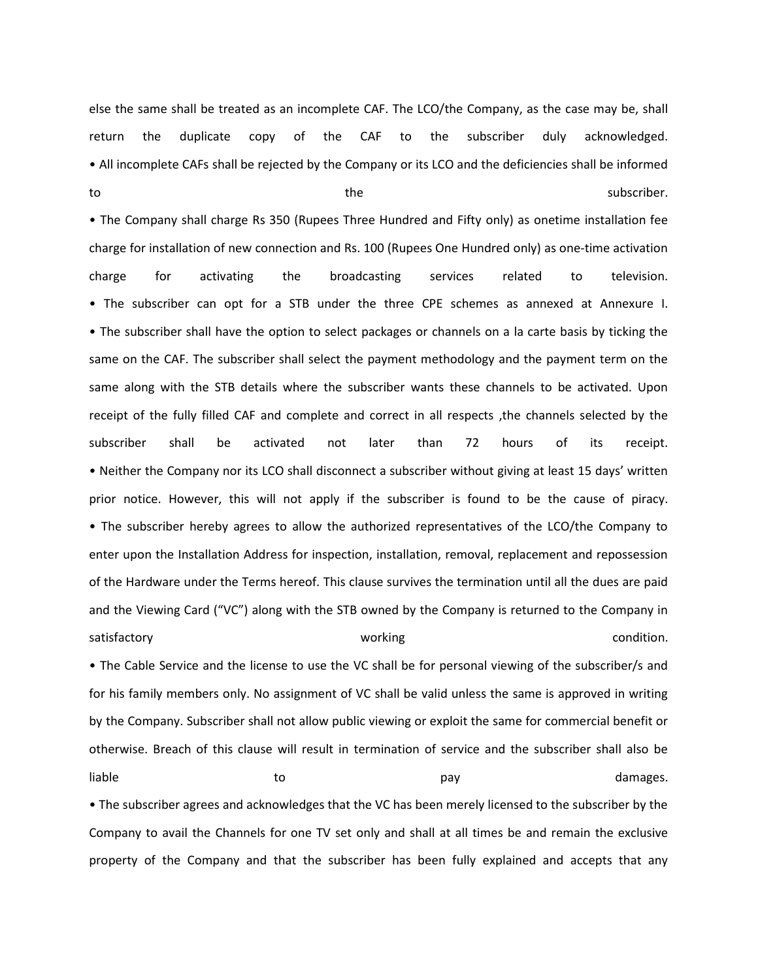else the same shall be treated as an incomplete CAF. The LCO/the Company, as the case may be, shall return the duplicate copy of the CAF to the subscriber duly acknowledged. • All incomplete CAFs shall be rejected by the Company or its LCO and the deficiencies shall be informed to the subscriber.

• The Company shall charge Rs 350 (Rupees Three Hundred and Fifty only) as onetime installation fee charge for installation of new connection and Rs. 100 (Rupees One Hundred only) as one-time activation charge for activating the broadcasting services related to television. • The subscriber can opt for a STB under the three CPE schemes as annexed at Annexure I. • The subscriber shall have the option to select packages or channels on a la carte basis by ticking the same on the CAF. The subscriber shall select the payment methodology and the payment term on the same along with the STB details where the subscriber wants these channels to be activated. Upon receipt of the fully filled CAF and complete and correct in all respects ,the channels selected by the subscriber shall be activated not later than 72 hours of its receipt. • Neither the Company nor its LCO shall disconnect a subscriber without giving at least 15 days' written prior notice. However, this will not apply if the subscriber is found to be the cause of piracy. • The subscriber hereby agrees to allow the authorized representatives of the LCO/the Company to enter upon the Installation Address for inspection, installation, removal, replacement and repossession of the Hardware under the Terms hereof. This clause survives the termination until all the dues are paid and the Viewing Card ("VC") along with the STB owned by the Company is returned to the Company in satisfactory **condition.** The same of the condition working the condition.

• The Cable Service and the license to use the VC shall be for personal viewing of the subscriber/s and for his family members only. No assignment of VC shall be valid unless the same is approved in writing by the Company. Subscriber shall not allow public viewing or exploit the same for commercial benefit or otherwise. Breach of this clause will result in termination of service and the subscriber shall also be liable to to be pay the community of the basic state of the basic state of the basic state of the basic state • The subscriber agrees and acknowledges that the VC has been merely licensed to the subscriber by the

Company to avail the Channels for one TV set only and shall at all times be and remain the exclusive property of the Company and that the subscriber has been fully explained and accepts that any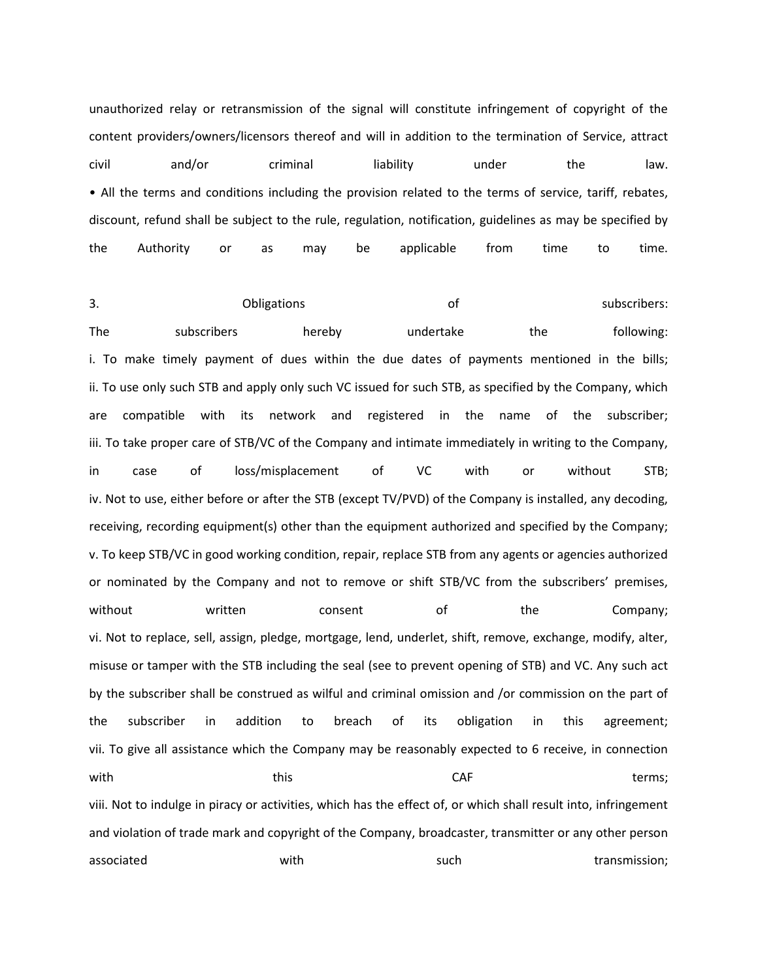unauthorized relay or retransmission of the signal will constitute infringement of copyright of the content providers/owners/licensors thereof and will in addition to the termination of Service, attract civil and/or criminal liability under the law. • All the terms and conditions including the provision related to the terms of service, tariff, rebates, discount, refund shall be subject to the rule, regulation, notification, guidelines as may be specified by the Authority or as may be applicable from time to time.

3. Chligations of Southern Subscribers: The subscribers hereby undertake the following: i. To make timely payment of dues within the due dates of payments mentioned in the bills; ii. To use only such STB and apply only such VC issued for such STB, as specified by the Company, which are compatible with its network and registered in the name of the subscriber; iii. To take proper care of STB/VC of the Company and intimate immediately in writing to the Company, in case of loss/misplacement of VC with or without STB; iv. Not to use, either before or after the STB (except TV/PVD) of the Company is installed, any decoding, receiving, recording equipment(s) other than the equipment authorized and specified by the Company; v. To keep STB/VC in good working condition, repair, replace STB from any agents or agencies authorized or nominated by the Company and not to remove or shift STB/VC from the subscribers' premises, without written consent of the Company; vi. Not to replace, sell, assign, pledge, mortgage, lend, underlet, shift, remove, exchange, modify, alter, misuse or tamper with the STB including the seal (see to prevent opening of STB) and VC. Any such act by the subscriber shall be construed as wilful and criminal omission and /or commission on the part of the subscriber in addition to breach of its obligation in this agreement; vii. To give all assistance which the Company may be reasonably expected to 6 receive, in connection with this this care can be the controller of terms; viii. Not to indulge in piracy or activities, which has the effect of, or which shall result into, infringement and violation of trade mark and copyright of the Company, broadcaster, transmitter or any other person associated with with such transmission;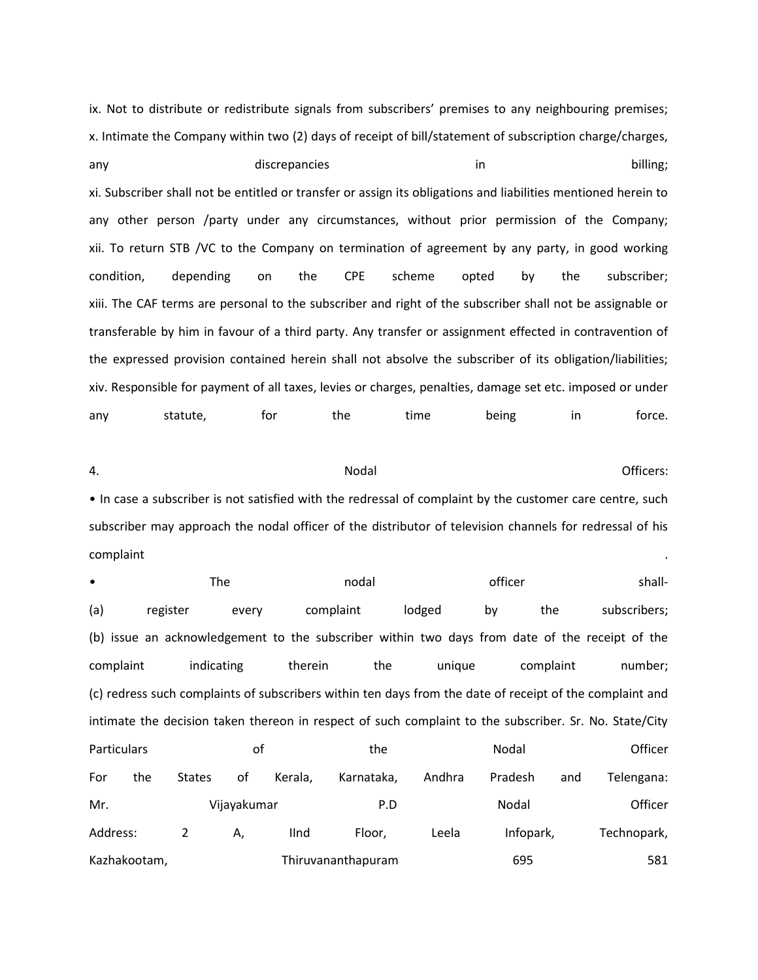ix. Not to distribute or redistribute signals from subscribers' premises to any neighbouring premises; x. Intimate the Company within two (2) days of receipt of bill/statement of subscription charge/charges, any discrepancies in billing; xi. Subscriber shall not be entitled or transfer or assign its obligations and liabilities mentioned herein to any other person /party under any circumstances, without prior permission of the Company; xii. To return STB /VC to the Company on termination of agreement by any party, in good working condition, depending on the CPE scheme opted by the subscriber; xiii. The CAF terms are personal to the subscriber and right of the subscriber shall not be assignable or transferable by him in favour of a third party. Any transfer or assignment effected in contravention of the expressed provision contained herein shall not absolve the subscriber of its obligation/liabilities; xiv. Responsible for payment of all taxes, levies or charges, penalties, damage set etc. imposed or under any statute, for the time being in force.

4. A contract to the Modal contract of the Modal contract of the Officers: • In case a subscriber is not satisfied with the redressal of complaint by the customer care centre, such subscriber may approach the nodal officer of the distributor of television channels for redressal of his complaint .

• The nodal officer shall-(a) register every complaint lodged by the subscribers; (b) issue an acknowledgement to the subscriber within two days from date of the receipt of the complaint indicating therein the unique complaint number; (c) redress such complaints of subscribers within ten days from the date of receipt of the complaint and intimate the decision taken thereon in respect of such complaint to the subscriber. Sr. No. State/City Particulars **Exercise Constructs** of the Nodal Nodal Officer For the States of Kerala, Karnataka, Andhra Pradesh and Telengana: Mr. Vijayakumar P.D Nodal Officer Address: 2 A, IInd Floor, Leela Infopark, Technopark, Kazhakootam, Thiruvananthapuram 695 581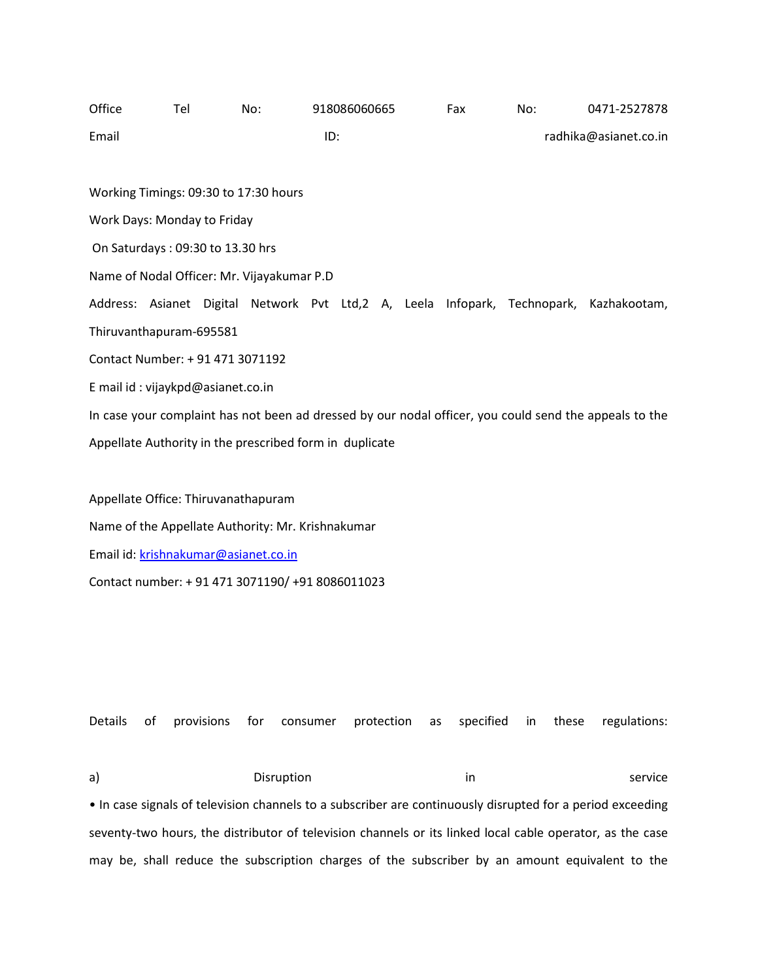Office Tel No: 918086060665 Fax No: 0471-2527878 Email ID: radhika@asianet.co.in Working Timings: 09:30 to 17:30 hours Work Days: Monday to Friday On Saturdays : 09:30 to 13.30 hrs Name of Nodal Officer: Mr. Vijayakumar P.D Address: Asianet Digital Network Pvt Ltd,2 A, Leela Infopark, Technopark, Kazhakootam, Thiruvanthapuram-695581 Contact Number: + 91 471 3071192 E mail id : vijaykpd@asianet.co.in In case your complaint has not been ad dressed by our nodal officer, you could send the appeals to the Appellate Authority in the prescribed form in duplicate Appellate Office: Thiruvanathapuram Name of the Appellate Authority: Mr. Krishnakumar

Email id: krishnakumar@asianet.co.in

Contact number: + 91 471 3071190/ +91 8086011023

Details of provisions for consumer protection as specified in these regulations:

a) and Disruption in the service of the Disruption in the service of the service • In case signals of television channels to a subscriber are continuously disrupted for a period exceeding seventy-two hours, the distributor of television channels or its linked local cable operator, as the case may be, shall reduce the subscription charges of the subscriber by an amount equivalent to the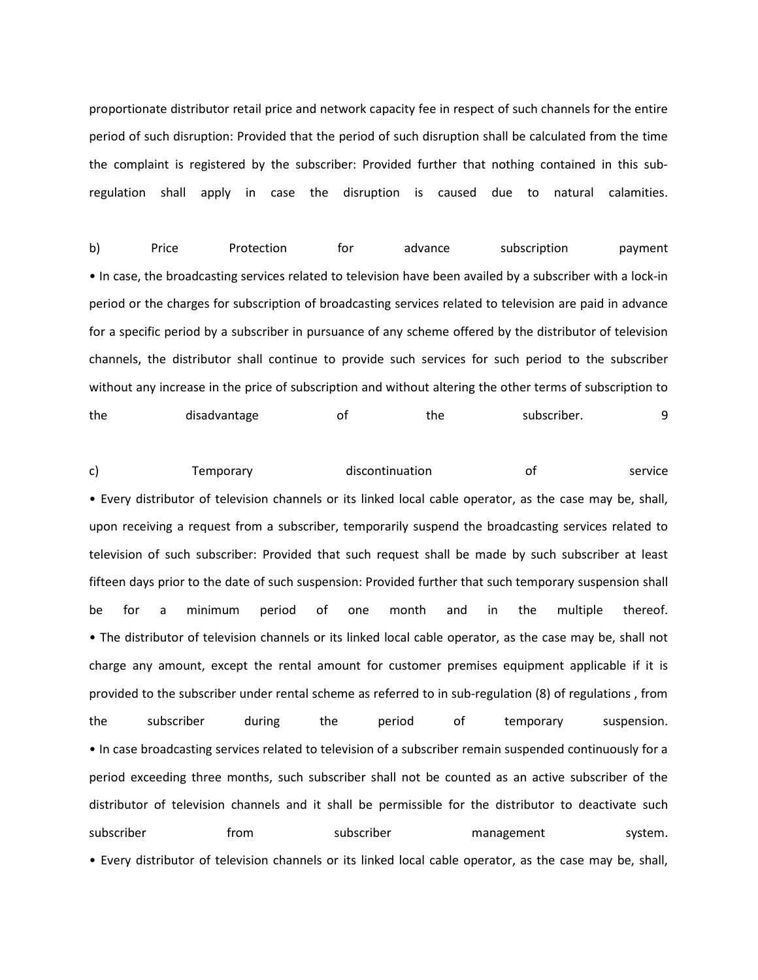proportionate distributor retail price and network capacity fee in respect of such channels for the entire period of such disruption: Provided that the period of such disruption shall be calculated from the time the complaint is registered by the subscriber: Provided further that nothing contained in this subregulation shall apply in case the disruption is caused due to natural calamities.

b) Price Protection for advance subscription payment • In case, the broadcasting services related to television have been availed by a subscriber with a lock-in period or the charges for subscription of broadcasting services related to television are paid in advance for a specific period by a subscriber in pursuance of any scheme offered by the distributor of television channels, the distributor shall continue to provide such services for such period to the subscriber without any increase in the price of subscription and without altering the other terms of subscription to the disadvantage of the subscriber. 9

c) Temporary discontinuation of service • Every distributor of television channels or its linked local cable operator, as the case may be, shall, upon receiving a request from a subscriber, temporarily suspend the broadcasting services related to television of such subscriber: Provided that such request shall be made by such subscriber at least fifteen days prior to the date of such suspension: Provided further that such temporary suspension shall be for a minimum period of one month and in the multiple thereof. • The distributor of television channels or its linked local cable operator, as the case may be, shall not charge any amount, except the rental amount for customer premises equipment applicable if it is provided to the subscriber under rental scheme as referred to in sub-regulation (8) of regulations , from the subscriber during the period of temporary suspension. • In case broadcasting services related to television of a subscriber remain suspended continuously for a period exceeding three months, such subscriber shall not be counted as an active subscriber of the distributor of television channels and it shall be permissible for the distributor to deactivate such subscriber from subscriber management system. • Every distributor of television channels or its linked local cable operator, as the case may be, shall,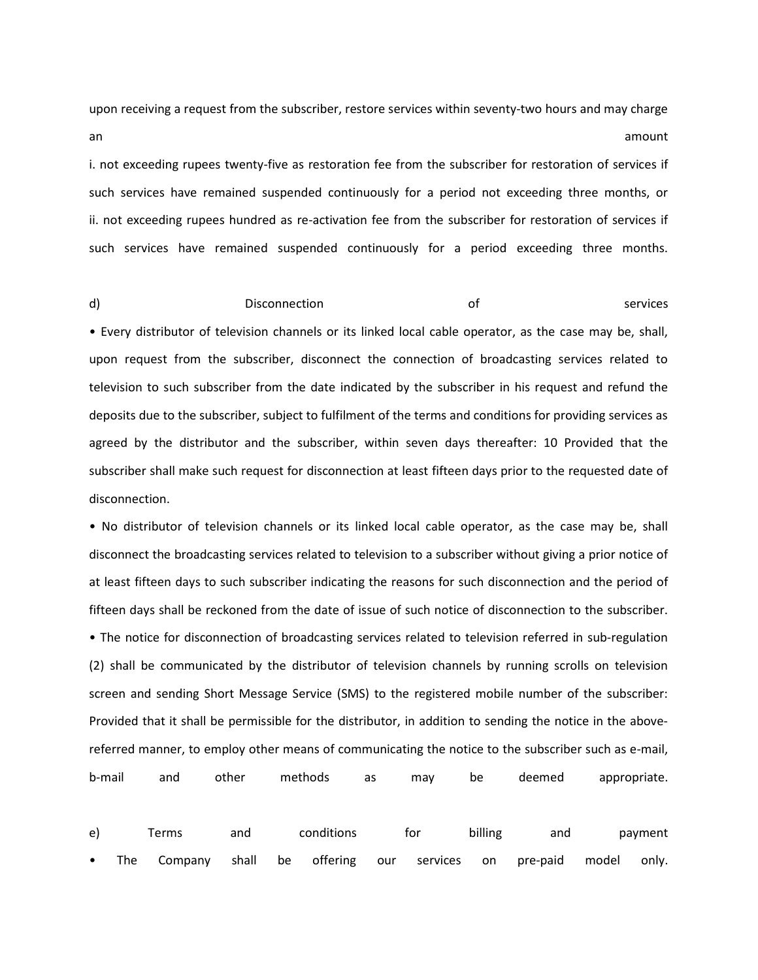upon receiving a request from the subscriber, restore services within seventy-two hours and may charge an amount

i. not exceeding rupees twenty-five as restoration fee from the subscriber for restoration of services if such services have remained suspended continuously for a period not exceeding three months, or ii. not exceeding rupees hundred as re-activation fee from the subscriber for restoration of services if such services have remained suspended continuously for a period exceeding three months.

d) Disconnection of services • Every distributor of television channels or its linked local cable operator, as the case may be, shall, upon request from the subscriber, disconnect the connection of broadcasting services related to television to such subscriber from the date indicated by the subscriber in his request and refund the deposits due to the subscriber, subject to fulfilment of the terms and conditions for providing services as agreed by the distributor and the subscriber, within seven days thereafter: 10 Provided that the subscriber shall make such request for disconnection at least fifteen days prior to the requested date of disconnection.

• No distributor of television channels or its linked local cable operator, as the case may be, shall disconnect the broadcasting services related to television to a subscriber without giving a prior notice of at least fifteen days to such subscriber indicating the reasons for such disconnection and the period of fifteen days shall be reckoned from the date of issue of such notice of disconnection to the subscriber. • The notice for disconnection of broadcasting services related to television referred in sub-regulation (2) shall be communicated by the distributor of television channels by running scrolls on television screen and sending Short Message Service (SMS) to the registered mobile number of the subscriber: Provided that it shall be permissible for the distributor, in addition to sending the notice in the abovereferred manner, to employ other means of communicating the notice to the subscriber such as e-mail, b-mail and other methods as may be deemed appropriate.

|  | e) Terms                                                             |  | and conditions | for | billing | and payment |  |
|--|----------------------------------------------------------------------|--|----------------|-----|---------|-------------|--|
|  | • The Company shall be offering our services on pre-paid model only. |  |                |     |         |             |  |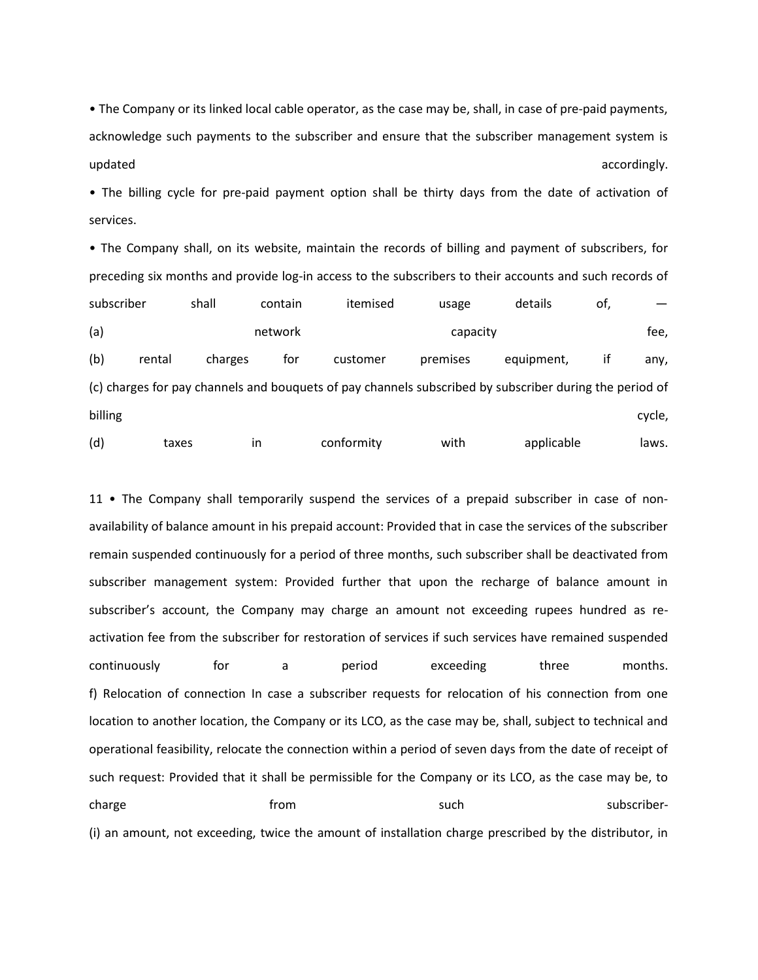• The Company or its linked local cable operator, as the case may be, shall, in case of pre-paid payments, acknowledge such payments to the subscriber and ensure that the subscriber management system is updated accordingly. The control of the control of the control of the control of the control of the control of the control of the control of the control of the control of the control of the control of the control of the co

• The billing cycle for pre-paid payment option shall be thirty days from the date of activation of services.

• The Company shall, on its website, maintain the records of billing and payment of subscribers, for preceding six months and provide log-in access to the subscribers to their accounts and such records of subscriber shall contain itemised usage details of,  $-$ (a) and the capacity capacity capacity fee, (b) rental charges for customer premises equipment, if any, (c) charges for pay channels and bouquets of pay channels subscribed by subscriber during the period of billing cycle,

(d) taxes in conformity with applicable laws.

11 • The Company shall temporarily suspend the services of a prepaid subscriber in case of nonavailability of balance amount in his prepaid account: Provided that in case the services of the subscriber remain suspended continuously for a period of three months, such subscriber shall be deactivated from subscriber management system: Provided further that upon the recharge of balance amount in subscriber's account, the Company may charge an amount not exceeding rupees hundred as reactivation fee from the subscriber for restoration of services if such services have remained suspended continuously for a period exceeding three months. f) Relocation of connection In case a subscriber requests for relocation of his connection from one location to another location, the Company or its LCO, as the case may be, shall, subject to technical and operational feasibility, relocate the connection within a period of seven days from the date of receipt of such request: Provided that it shall be permissible for the Company or its LCO, as the case may be, to charge subscriber-(i) an amount, not exceeding, twice the amount of installation charge prescribed by the distributor, in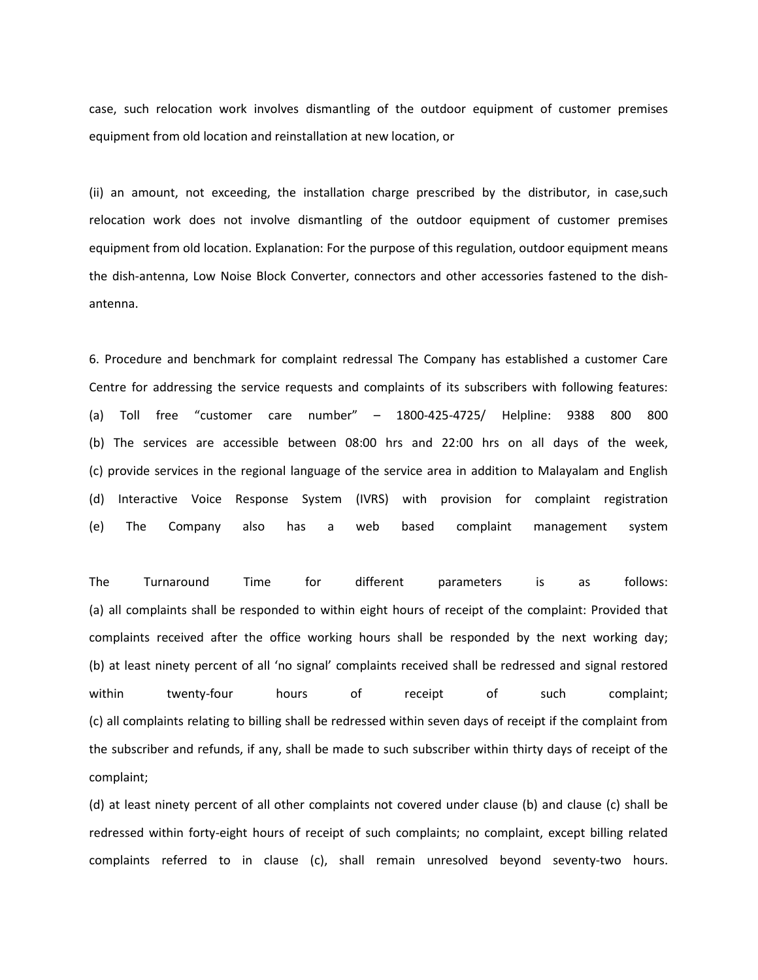case, such relocation work involves dismantling of the outdoor equipment of customer premises equipment from old location and reinstallation at new location, or

(ii) an amount, not exceeding, the installation charge prescribed by the distributor, in case,such relocation work does not involve dismantling of the outdoor equipment of customer premises equipment from old location. Explanation: For the purpose of this regulation, outdoor equipment means the dish-antenna, Low Noise Block Converter, connectors and other accessories fastened to the dishantenna.

6. Procedure and benchmark for complaint redressal The Company has established a customer Care Centre for addressing the service requests and complaints of its subscribers with following features: (a) Toll free "customer care number" – 1800-425-4725/ Helpline: 9388 800 800 (b) The services are accessible between 08:00 hrs and 22:00 hrs on all days of the week, (c) provide services in the regional language of the service area in addition to Malayalam and English (d) Interactive Voice Response System (IVRS) with provision for complaint registration (e) The Company also has a web based complaint management system

The Turnaround Time for different parameters is as follows: (a) all complaints shall be responded to within eight hours of receipt of the complaint: Provided that complaints received after the office working hours shall be responded by the next working day; (b) at least ninety percent of all 'no signal' complaints received shall be redressed and signal restored within twenty-four hours of receipt of such complaint; (c) all complaints relating to billing shall be redressed within seven days of receipt if the complaint from the subscriber and refunds, if any, shall be made to such subscriber within thirty days of receipt of the complaint;

(d) at least ninety percent of all other complaints not covered under clause (b) and clause (c) shall be redressed within forty-eight hours of receipt of such complaints; no complaint, except billing related complaints referred to in clause (c), shall remain unresolved beyond seventy-two hours.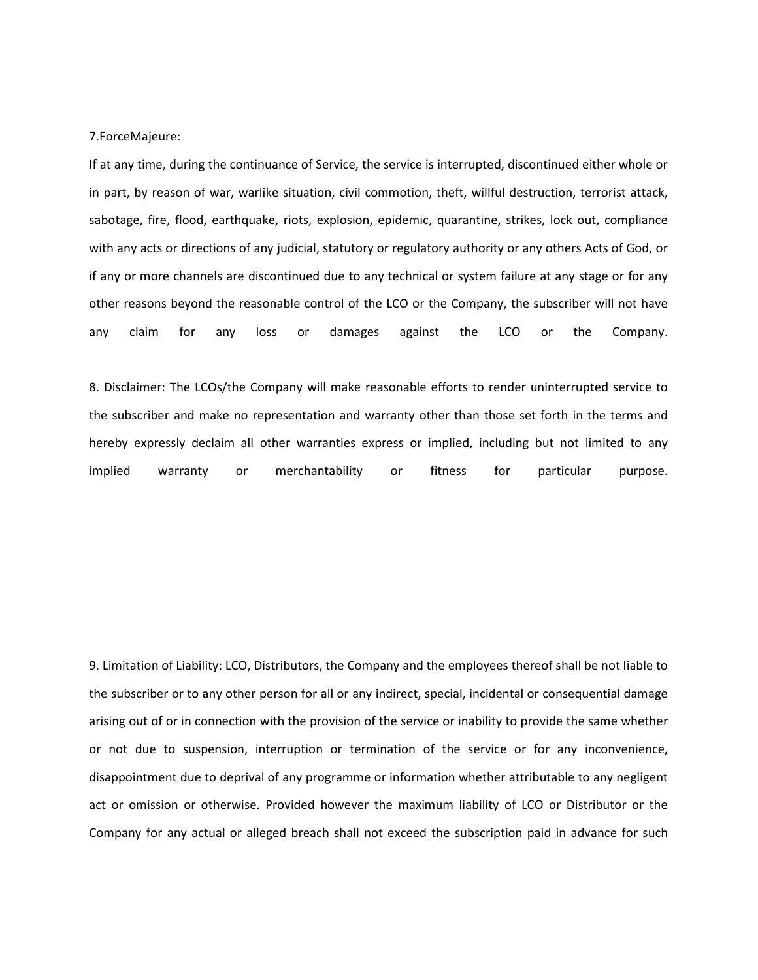#### 7.ForceMajeure:

If at any time, during the continuance of Service, the service is interrupted, discontinued either whole or in part, by reason of war, warlike situation, civil commotion, theft, willful destruction, terrorist attack, sabotage, fire, flood, earthquake, riots, explosion, epidemic, quarantine, strikes, lock out, compliance with any acts or directions of any judicial, statutory or regulatory authority or any others Acts of God, or if any or more channels are discontinued due to any technical or system failure at any stage or for any other reasons beyond the reasonable control of the LCO or the Company, the subscriber will not have any claim for any loss or damages against the LCO or the Company.

8. Disclaimer: The LCOs/the Company will make reasonable efforts to render uninterrupted service to the subscriber and make no representation and warranty other than those set forth in the terms and hereby expressly declaim all other warranties express or implied, including but not limited to any implied warranty or merchantability or fitness for particular purpose.

9. Limitation of Liability: LCO, Distributors, the Company and the employees thereof shall be not liable to the subscriber or to any other person for all or any indirect, special, incidental or consequential damage arising out of or in connection with the provision of the service or inability to provide the same whether or not due to suspension, interruption or termination of the service or for any inconvenience, disappointment due to deprival of any programme or information whether attributable to any negligent act or omission or otherwise. Provided however the maximum liability of LCO or Distributor or the Company for any actual or alleged breach shall not exceed the subscription paid in advance for such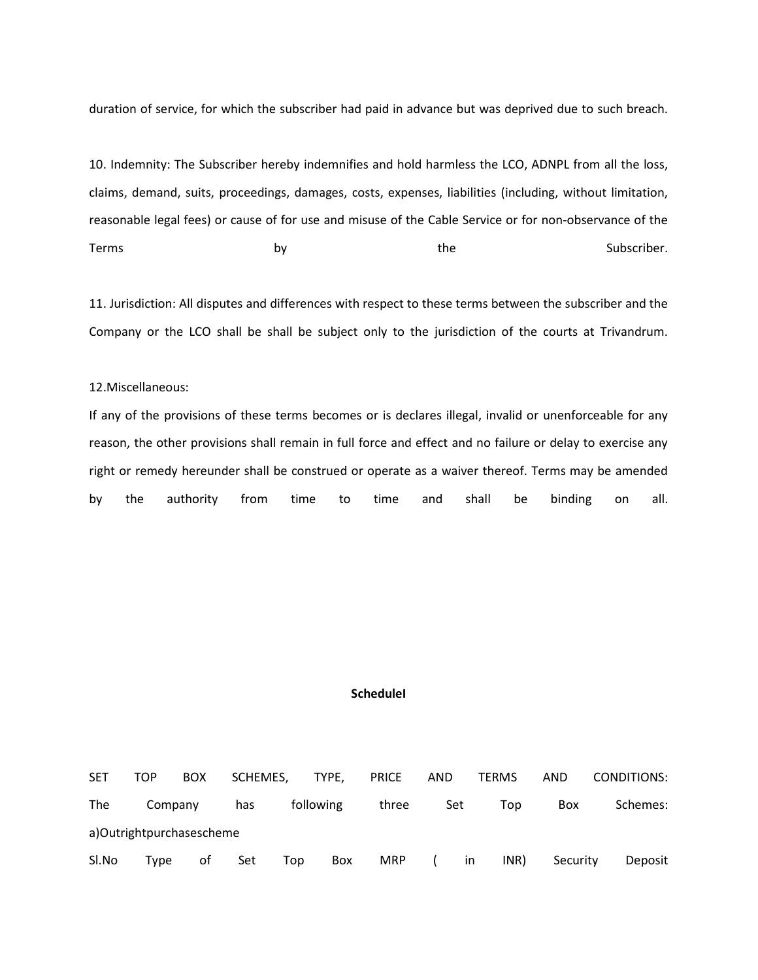duration of service, for which the subscriber had paid in advance but was deprived due to such breach.

10. Indemnity: The Subscriber hereby indemnifies and hold harmless the LCO, ADNPL from all the loss, claims, demand, suits, proceedings, damages, costs, expenses, liabilities (including, without limitation, reasonable legal fees) or cause of for use and misuse of the Cable Service or for non-observance of the Terms and Subscriber. The Subscriber of the Subscriber.

11. Jurisdiction: All disputes and differences with respect to these terms between the subscriber and the Company or the LCO shall be shall be subject only to the jurisdiction of the courts at Trivandrum.

## 12.Miscellaneous:

If any of the provisions of these terms becomes or is declares illegal, invalid or unenforceable for any reason, the other provisions shall remain in full force and effect and no failure or delay to exercise any right or remedy hereunder shall be construed or operate as a waiver thereof. Terms may be amended by the authority from time to time and shall be binding on all.

## **ScheduleI**

SET TOP BOX SCHEMES, TYPE, PRICE AND TERMS AND CONDITIONS: The Company has following three Set Top Box Schemes: a)Outrightpurchasescheme Sl.No Type of Set Top Box MRP ( in INR) Security Deposit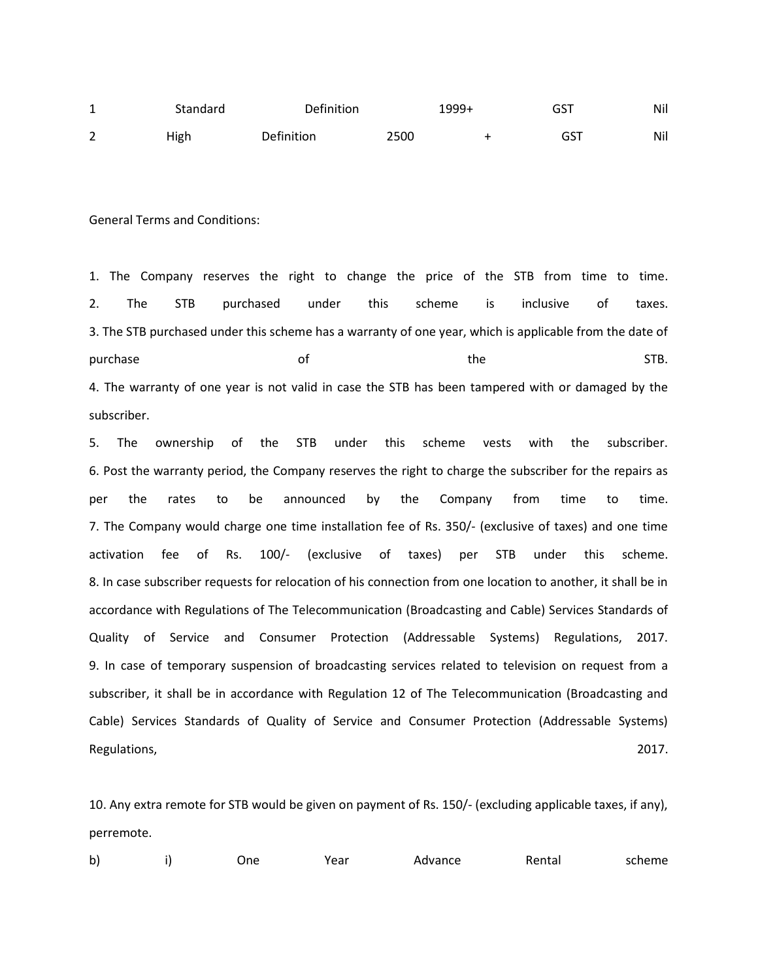| ٠                             | Standard | Definition |      | 1999+ | GST | Nil |
|-------------------------------|----------|------------|------|-------|-----|-----|
| $\overline{\phantom{0}}$<br>∠ | High     | Definition | 2500 |       | GST | Nil |

General Terms and Conditions:

1. The Company reserves the right to change the price of the STB from time to time. 2. The STB purchased under this scheme is inclusive of taxes. 3. The STB purchased under this scheme has a warranty of one year, which is applicable from the date of purchase **of the STB.** 4. The warranty of one year is not valid in case the STB has been tampered with or damaged by the subscriber.

5. The ownership of the STB under this scheme vests with the subscriber. 6. Post the warranty period, the Company reserves the right to charge the subscriber for the repairs as per the rates to be announced by the Company from time to time. 7. The Company would charge one time installation fee of Rs. 350/- (exclusive of taxes) and one time activation fee of Rs. 100/- (exclusive of taxes) per STB under this scheme. 8. In case subscriber requests for relocation of his connection from one location to another, it shall be in accordance with Regulations of The Telecommunication (Broadcasting and Cable) Services Standards of Quality of Service and Consumer Protection (Addressable Systems) Regulations, 2017. 9. In case of temporary suspension of broadcasting services related to television on request from a subscriber, it shall be in accordance with Regulation 12 of The Telecommunication (Broadcasting and Cable) Services Standards of Quality of Service and Consumer Protection (Addressable Systems) Regulations, 2017.

10. Any extra remote for STB would be given on payment of Rs. 150/- (excluding applicable taxes, if any), perremote.

| b)<br>Advance<br>Year<br>Rental<br>bne ( | scheme |
|------------------------------------------|--------|
|------------------------------------------|--------|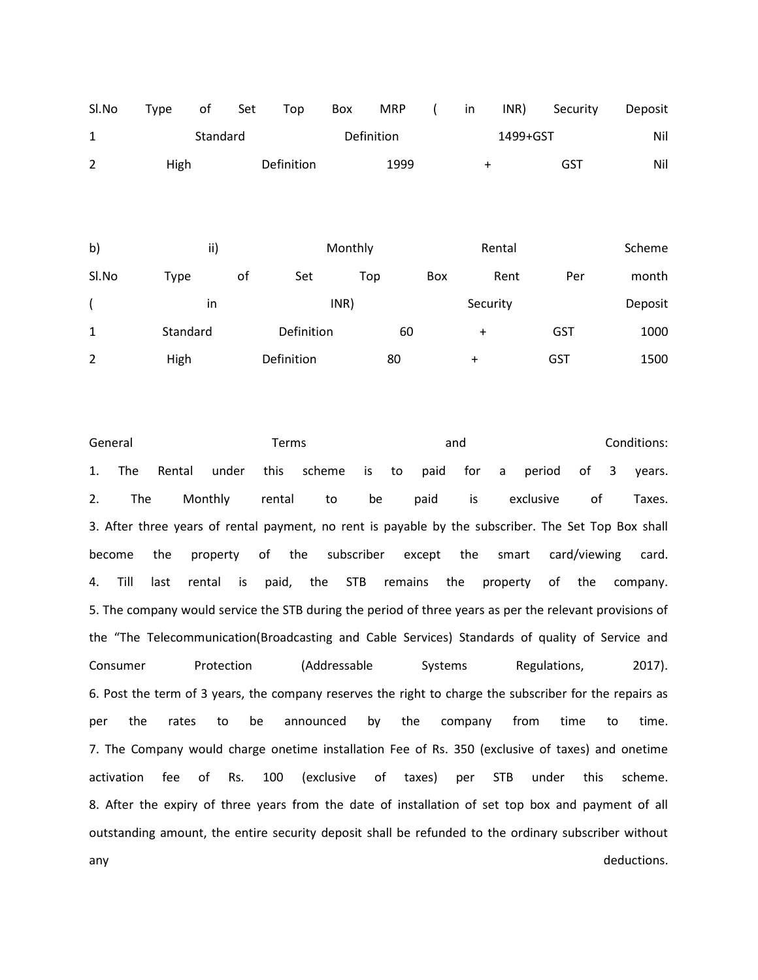| Sl.No                    | Type     | оf       | Set | Top        | Box        | <b>MRP</b> | $\overline{\mathcal{L}}$ | in        | INR)     | Security   | Deposit |
|--------------------------|----------|----------|-----|------------|------------|------------|--------------------------|-----------|----------|------------|---------|
| $\mathbf{1}$             |          | Standard |     |            | Definition |            |                          |           | 1499+GST |            | Nil     |
| $\overline{2}$           | High     |          |     | Definition |            | 1999       |                          | $\ddot{}$ |          | <b>GST</b> | Nil     |
|                          |          |          |     |            |            |            |                          |           |          |            |         |
|                          |          |          |     |            |            |            |                          |           |          |            |         |
| b)                       |          | ii)      |     |            | Monthly    |            |                          |           | Rental   |            | Scheme  |
| Sl.No                    | Type     |          | of  | Set        | Top        |            | Box                      |           | Rent     | Per        | month   |
| $\overline{\phantom{a}}$ |          | in       |     |            | INR)       |            |                          |           | Security |            | Deposit |
| $\mathbf{1}$             | Standard |          |     | Definition |            | 60         |                          | $\ddot{}$ |          | GST        | 1000    |
| $\overline{2}$           | High     |          |     | Definition |            | 80         |                          | $\ddot{}$ |          | GST        | 1500    |
|                          |          |          |     |            |            |            |                          |           |          |            |         |

General Conditions: Terms and Conditions: 1. The Rental under this scheme is to paid for a period of 3 years. 2. The Monthly rental to be paid is exclusive of Taxes. 3. After three years of rental payment, no rent is payable by the subscriber. The Set Top Box shall become the property of the subscriber except the smart card/viewing card. 4. Till last rental is paid, the STB remains the property of the company. 5. The company would service the STB during the period of three years as per the relevant provisions of the "The Telecommunication(Broadcasting and Cable Services) Standards of quality of Service and Consumer Protection (Addressable Systems Regulations, 2017). 6. Post the term of 3 years, the company reserves the right to charge the subscriber for the repairs as per the rates to be announced by the company from time to time. 7. The Company would charge onetime installation Fee of Rs. 350 (exclusive of taxes) and onetime activation fee of Rs. 100 (exclusive of taxes) per STB under this scheme. 8. After the expiry of three years from the date of installation of set top box and payment of all outstanding amount, the entire security deposit shall be refunded to the ordinary subscriber without any deductions.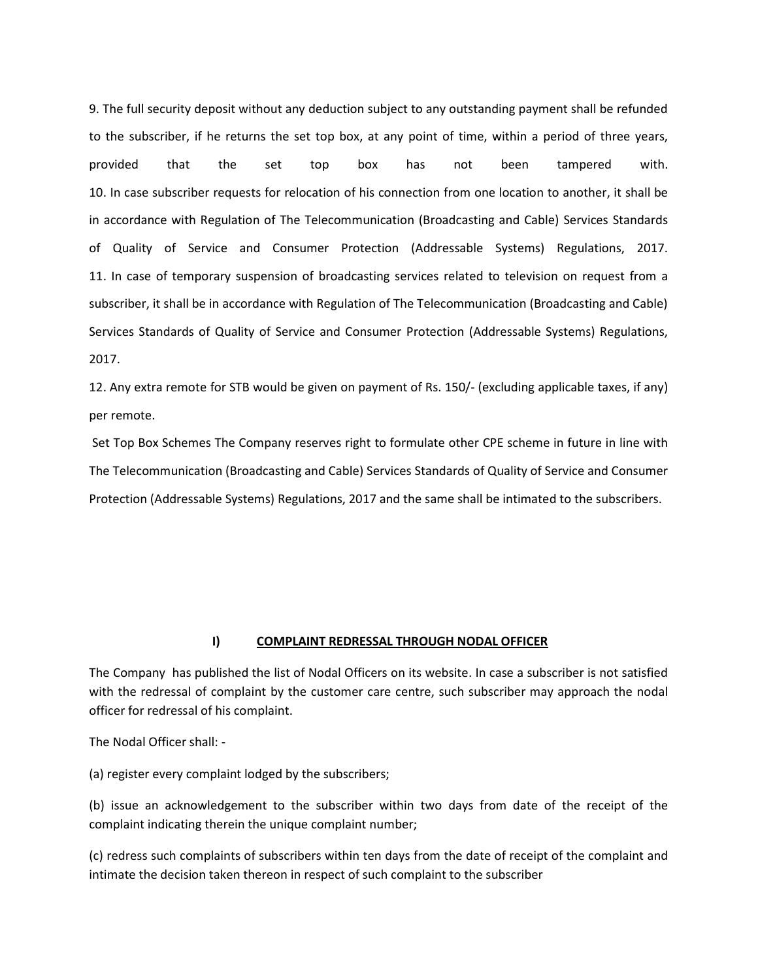9. The full security deposit without any deduction subject to any outstanding payment shall be refunded to the subscriber, if he returns the set top box, at any point of time, within a period of three years, provided that the set top box has not been tampered with. 10. In case subscriber requests for relocation of his connection from one location to another, it shall be in accordance with Regulation of The Telecommunication (Broadcasting and Cable) Services Standards of Quality of Service and Consumer Protection (Addressable Systems) Regulations, 2017. 11. In case of temporary suspension of broadcasting services related to television on request from a subscriber, it shall be in accordance with Regulation of The Telecommunication (Broadcasting and Cable) Services Standards of Quality of Service and Consumer Protection (Addressable Systems) Regulations, 2017.

12. Any extra remote for STB would be given on payment of Rs. 150/- (excluding applicable taxes, if any) per remote.

 Set Top Box Schemes The Company reserves right to formulate other CPE scheme in future in line with The Telecommunication (Broadcasting and Cable) Services Standards of Quality of Service and Consumer Protection (Addressable Systems) Regulations, 2017 and the same shall be intimated to the subscribers.

### I) COMPLAINT REDRESSAL THROUGH NODAL OFFICER

The Company has published the list of Nodal Officers on its website. In case a subscriber is not satisfied with the redressal of complaint by the customer care centre, such subscriber may approach the nodal officer for redressal of his complaint.

The Nodal Officer shall: -

(a) register every complaint lodged by the subscribers;

(b) issue an acknowledgement to the subscriber within two days from date of the receipt of the complaint indicating therein the unique complaint number;

(c) redress such complaints of subscribers within ten days from the date of receipt of the complaint and intimate the decision taken thereon in respect of such complaint to the subscriber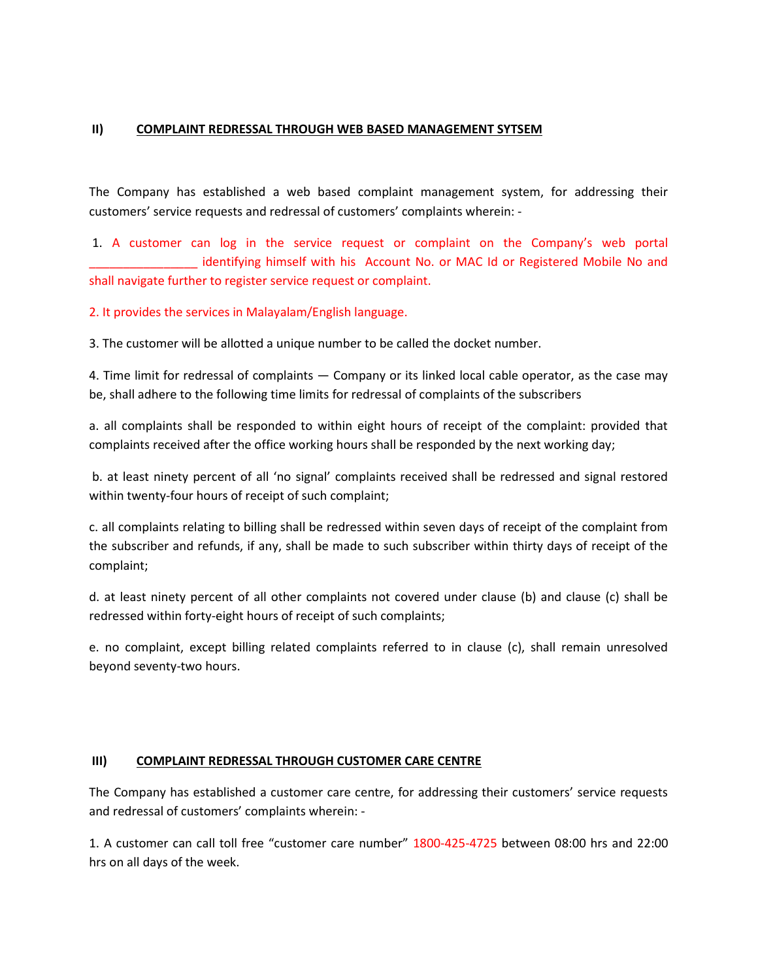# II) COMPLAINT REDRESSAL THROUGH WEB BASED MANAGEMENT SYTSEM

The Company has established a web based complaint management system, for addressing their customers' service requests and redressal of customers' complaints wherein: -

 1. A customer can log in the service request or complaint on the Company's web portal identifying himself with his Account No. or MAC Id or Registered Mobile No and shall navigate further to register service request or complaint.

2. It provides the services in Malayalam/English language.

3. The customer will be allotted a unique number to be called the docket number.

4. Time limit for redressal of complaints — Company or its linked local cable operator, as the case may be, shall adhere to the following time limits for redressal of complaints of the subscribers

a. all complaints shall be responded to within eight hours of receipt of the complaint: provided that complaints received after the office working hours shall be responded by the next working day;

 b. at least ninety percent of all 'no signal' complaints received shall be redressed and signal restored within twenty-four hours of receipt of such complaint;

c. all complaints relating to billing shall be redressed within seven days of receipt of the complaint from the subscriber and refunds, if any, shall be made to such subscriber within thirty days of receipt of the complaint;

d. at least ninety percent of all other complaints not covered under clause (b) and clause (c) shall be redressed within forty-eight hours of receipt of such complaints;

e. no complaint, except billing related complaints referred to in clause (c), shall remain unresolved beyond seventy-two hours.

# III) COMPLAINT REDRESSAL THROUGH CUSTOMER CARE CENTRE

The Company has established a customer care centre, for addressing their customers' service requests and redressal of customers' complaints wherein: -

1. A customer can call toll free "customer care number" 1800-425-4725 between 08:00 hrs and 22:00 hrs on all days of the week.